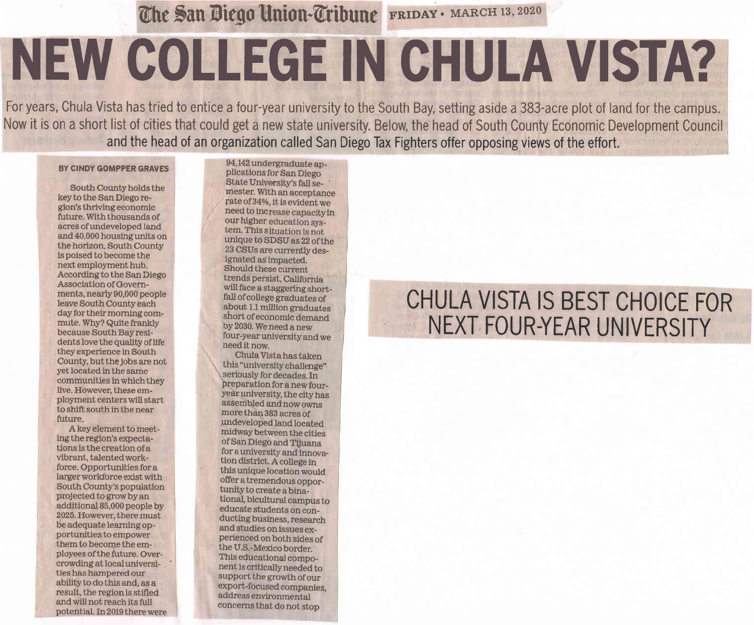The San Diego Union-Tribune FRIDAY · MARCH 13, 2020

## NEW COLLEGE IN CHULA VISTA?

For years, Chula Vista has tried to entice a four-year university to the South Bay, setting aside a 383-acre plot of land for the campus. Now it is on a short list of cities that could get a new state university. Below, the head of South County Economic Development Council and the head of an organization called San Diego Tax Fighters offer opposing views of the effort.

## BY CINDY GOMPPER GRAVES

South County holds the key to the San Diego region's thriving economic future. With thousands of acres of undeveloped land and 40,000 housing units on the horizon, South County is poised to become the next employment hub. According to the San Diego **Association of Govern**ments, nearly 90,000 people leave South County each day for their morning commute. Why? Quite frankly because South Bay residents love the quality of life they experience in South County, but the jobs are not yet located in the same communities in which they live. However, these employment centers will start to shift south in the near future.

A key element to meeting the region's expectations is the creation of a vibrant, talented workforce. Opportunities for a larger workforce exist with South County's population projected to grow by an additional 85,000 people by 2025. However, there must be adequate learning opportunities to empower them to become the employees of the future. Overcrowding at local universities has hampered our ability to do this and, as a result, the region is stifled and will not reach its full potential. In 2019 there were

94,142 undergraduate applications for San Diego State University's fall semester. With an acceptance rate of 34%, it is evident we need to increase capacity in our higher education system. This situation is not unique to SDSU as 22 of the 23 CSUs are currently designated as impacted. Should these current trends persist, California will face a staggering shortfall of college graduates of about 1.1 million graduates short of economic demand by 2030. We need a new four-year university and we need it now.

Chula Vista has taken this "university challenge" seriously for decades. In preparation for a new fouryear university, the city has assembled and now owns more than 383 acres of undeveloped land located midway between the cities of San Diego and Tijuana for a university and innovation district. A college in this unique location would offer a tremendous opportunity to create a binational, bicultural campus to educate students on conducting business, research and studies on issues experienced on both sides of the U.S.-Mexico border. This educational component is critically needed to support the growth of our export-focused companies, address environmental concerns that do not stop

## CHULA VISTA IS BEST CHOICE FOR NEXT FOUR-YEAR UNIVERSITY